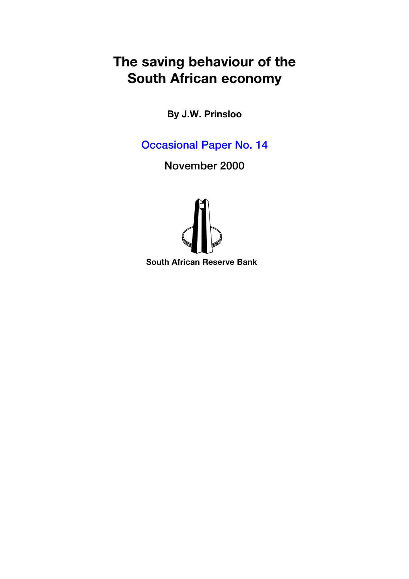# **The saving behaviour of the South African economy**

**By J.W. Prinsloo**

[Occasional Paper No. 14](#page-1-0)

November 2000



**South African Reserve Bank**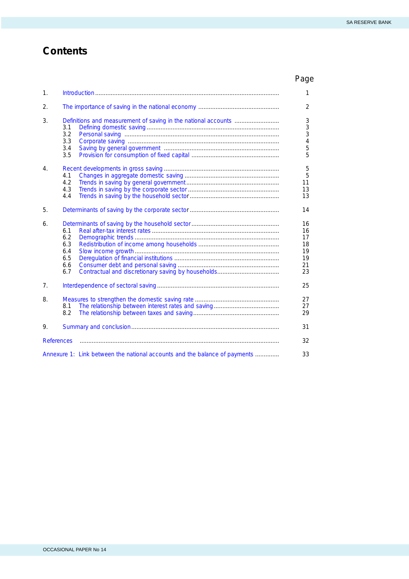# <span id="page-1-0"></span>**Contents**

|                   |                                                                            | Page                                         |
|-------------------|----------------------------------------------------------------------------|----------------------------------------------|
| 1.                |                                                                            | 1                                            |
| 2.                |                                                                            | 2                                            |
| 3.                | 3.1<br>3.2<br>3.3<br>3.4<br>3.5                                            | 3<br>3<br>3<br>4<br>5<br>5                   |
| 4.                | 4.1<br>4.2<br>4.3<br>4.4                                                   | 5<br>5<br>11<br>13<br>13                     |
| 5.                |                                                                            | 14                                           |
| 6.                | 6.1<br>6.2<br>6.3<br>6.4<br>6.5<br>6.6<br>6.7                              | 16<br>16<br>17<br>18<br>19<br>19<br>21<br>23 |
| 7 <sub>1</sub>    |                                                                            | 25                                           |
| 8.                | 8.1<br>8.2                                                                 | 27<br>27<br>29                               |
| 9.                |                                                                            | 31                                           |
| <b>References</b> |                                                                            | 32                                           |
|                   | Annexure 1: Link between the national accounts and the balance of payments | 33                                           |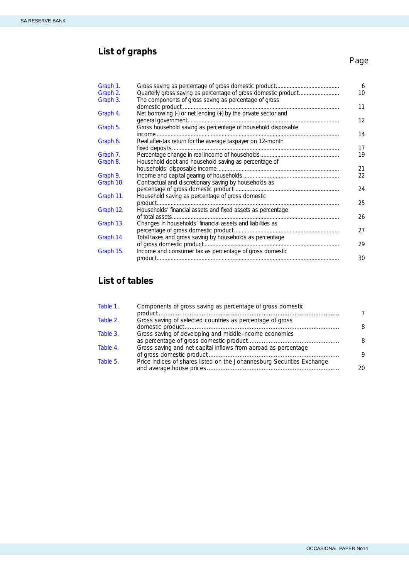# **List of graphs**

# Page

| Graph 1.  |                                                                              | 6  |
|-----------|------------------------------------------------------------------------------|----|
| Graph 2.  | Quarterly gross saving as percentage of gross domestic product               | 10 |
| Graph 3.  | The components of gross saving as percentage of gross                        | 11 |
| Graph 4.  | Net borrowing (-) or net lending (+) by the private sector and               | 12 |
| Graph 5.  | Gross household saving as percentage of household disposable                 | 14 |
| Graph 6.  | Real after-tax return for the average taxpayer on 12-month<br>fixed deposits | 17 |
| Graph 7.  |                                                                              | 19 |
| Graph 8.  | Household debt and household saving as percentage of                         | 21 |
| Graph 9.  |                                                                              | 22 |
| Graph 10. | Contractual and discretionary saving by households as                        | 24 |
| Graph 11. | Household saving as percentage of gross domestic                             |    |
|           |                                                                              | 25 |
| Graph 12. | Households' financial assets and fixed assets as percentage                  | 26 |
| Graph 13. | Changes in households' financial assets and liabilities as                   |    |
|           |                                                                              | 27 |
| Graph 14. | Total taxes and gross saving by households as percentage                     | 29 |
| Graph 15. | Income and consumer tax as percentage of gross domestic                      | 30 |

# **List of tables**

| Table 1. | Components of gross saving as percentage of gross domestic             |    |
|----------|------------------------------------------------------------------------|----|
| Table 2. | Gross saving of selected countries as percentage of gross              | 8  |
| Table 3. | Gross saving of developing and middle-income economies                 | 8  |
| Table 4. | Gross saving and net capital inflows from abroad as percentage         | Q  |
| Table 5. | Price indices of shares listed on the Johannesburg Securities Exchange | 20 |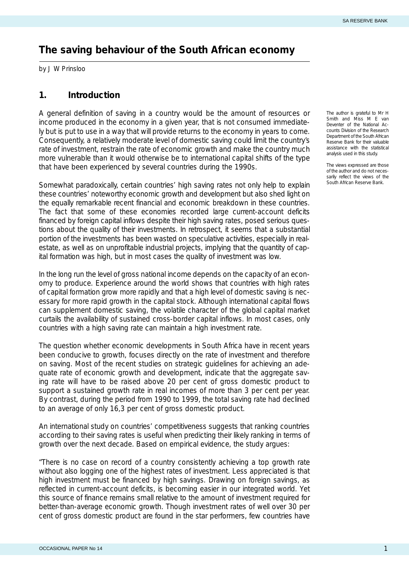# <span id="page-3-0"></span>**The saving behaviour of the South African economy**

by J W Prinsloo

### **1. Introduction**

A general definition of saving in a country would be the amount of resources or income produced in the economy in a given year, that is not consumed immediately but is put to use in a way that will provide returns to the economy in years to come. Consequently, a relatively moderate level of domestic saving could limit the country's rate of investment, restrain the rate of economic growth and make the country much more vulnerable than it would otherwise be to international capital shifts of the type that have been experienced by several countries during the 1990s.

Somewhat paradoxically, certain countries' high saving rates not only help to explain these countries' noteworthy economic growth and development but also shed light on the equally remarkable recent financial and economic breakdown in these countries. The fact that some of these economies recorded large current-account deficits financed by foreign capital inflows despite their high saving rates, posed serious questions about the quality of their investments. In retrospect, it seems that a substantial portion of the investments has been wasted on speculative activities, especially in realestate, as well as on unprofitable industrial projects, implying that the quantity of capital formation was high, but in most cases the quality of investment was low.

In the long run the level of gross national income depends on the capacity of an economy to produce. Experience around the world shows that countries with high rates of capital formation grow more rapidly and that a high level of domestic saving is necessary for more rapid growth in the capital stock. Although international capital flows can supplement domestic saving, the volatile character of the global capital market curtails the availability of sustained cross-border capital inflows. In most cases, only countries with a high saving rate can maintain a high investment rate.

The question whether economic developments in South Africa have in recent years been conducive to growth, focuses directly on the rate of investment and therefore on saving. Most of the recent studies on strategic guidelines for achieving an adequate rate of economic growth and development, indicate that the aggregate saving rate will have to be raised above 20 per cent of gross domestic product to support a sustained growth rate in real incomes of more than 3 per cent per year. By contrast, during the period from 1990 to 1999, the total saving rate had declined to an average of only 16,3 per cent of gross domestic product.

An international study on countries' competitiveness suggests that ranking countries according to their saving rates is useful when predicting their likely ranking in terms of growth over the next decade. Based on empirical evidence, the study argues:

"There is no case on record of a country consistently achieving a top growth rate without also logging one of the highest rates of investment. Less appreciated is that high investment must be financed by high savings. Drawing on foreign savings, as reflected in current-account deficits, is becoming easier in our integrated world. Yet this source of finance remains small relative to the amount of investment required for better-than-average economic growth. Though investment rates of well over 30 per cent of gross domestic product are found in the star performers, few countries have

*The author is grateful to Mr H Smith and Miss M E van Deventer of the National Accounts Division of the Research Department of the South African Reserve Bank for their valuable assistance with the statistical analysis used in this study.*

*The views expressed are those of the author and do not necessarily reflect the views of the South African Reserve Bank.*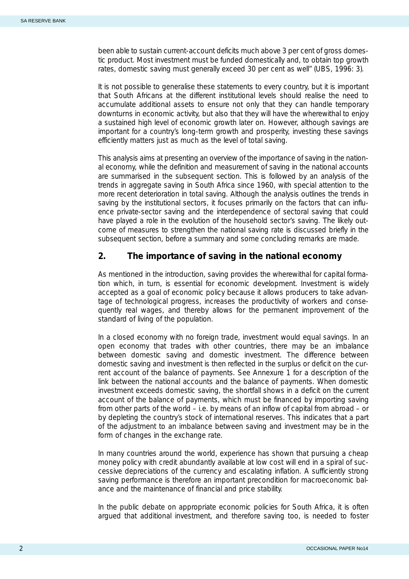<span id="page-4-0"></span>been able to sustain current-account deficits much above 3 per cent of gross domestic product. Most investment must be funded domestically and, to obtain top growth rates, domestic saving must generally exceed 30 per cent as well" (UBS, 1996: 3).

It is not possible to generalise these statements to every country, but it is important that South Africans at the different institutional levels should realise the need to accumulate additional assets to ensure not only that they can handle temporary downturns in economic activity, but also that they will have the wherewithal to enjoy a sustained high level of economic growth later on. However, although savings are important for a country's long-term growth and prosperity, investing these savings efficiently matters just as much as the level of total saving.

This analysis aims at presenting an overview of the importance of saving in the national economy, while the definition and measurement of saving in the national accounts are summarised in the subsequent section. This is followed by an analysis of the trends in aggregate saving in South Africa since 1960, with special attention to the more recent deterioration in total saving. Although the analysis outlines the trends in saving by the institutional sectors, it focuses primarily on the factors that can influence private-sector saving and the interdependence of sectoral saving that could have played a role in the evolution of the household sector's saving. The likely outcome of measures to strengthen the national saving rate is discussed briefly in the subsequent section, before a summary and some concluding remarks are made.

## **2. The importance of saving in the national economy**

As mentioned in the introduction, saving provides the wherewithal for capital formation which, in turn, is essential for economic development. Investment is widely accepted as a goal of economic policy because it allows producers to take advantage of technological progress, increases the productivity of workers and consequently real wages, and thereby allows for the permanent improvement of the standard of living of the population.

In a closed economy with no foreign trade, investment would equal savings. In an open economy that trades with other countries, there may be an imbalance between domestic saving and domestic investment. The difference between domestic saving and investment is then reflected in the surplus or deficit on the current account of the balance of payments. See Annexure 1 for a description of the link between the national accounts and the balance of payments. When domestic investment exceeds domestic saving, the shortfall shows in a deficit on the current account of the balance of payments, which must be financed by importing saving from other parts of the world – i.e. by means of an inflow of capital from abroad – or by depleting the country's stock of international reserves. This indicates that a part of the adjustment to an imbalance between saving and investment may be in the form of changes in the exchange rate.

In many countries around the world, experience has shown that pursuing a cheap money policy with credit abundantly available at low cost will end in a spiral of successive depreciations of the currency and escalating inflation. A sufficiently strong saving performance is therefore an important precondition for macroeconomic balance and the maintenance of financial and price stability.

In the public debate on appropriate economic policies for South Africa, it is often argued that additional investment, and therefore saving too, is needed to foster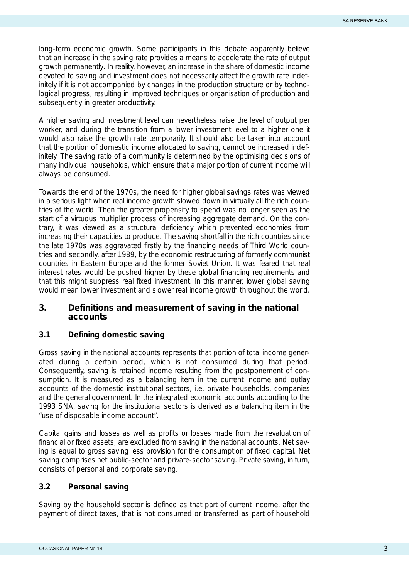<span id="page-5-0"></span>long-term economic growth. Some participants in this debate apparently believe that an increase in the saving rate provides a means to accelerate the rate of output growth *permanently*. In reality, however, an increase in the share of domestic income devoted to saving and investment does not necessarily affect the growth rate indefinitely if it is not accompanied by changes in the production structure or by technological progress, resulting in improved techniques or organisation of production and subsequently in greater productivity.

A higher saving and investment level can nevertheless raise the *level* of output per worker, and during the transition from a lower investment level to a higher one it would also raise the growth rate temporarily. It should also be taken into account that the portion of domestic income allocated to saving, cannot be increased indefinitely. The saving ratio of a community is determined by the optimising decisions of many individual households, which ensure that a major portion of current income will always be consumed.

Towards the end of the 1970s, the need for higher global savings rates was viewed in a serious light when real income growth slowed down in virtually all the rich countries of the world. Then the greater propensity to spend was no longer seen as the start of a virtuous multiplier process of increasing aggregate demand. On the contrary, it was viewed as a structural deficiency which prevented economies from increasing their capacities to produce. The saving shortfall in the rich countries since the late 1970s was aggravated firstly by the financing needs of Third World countries and secondly, after 1989, by the economic restructuring of formerly communist countries in Eastern Europe and the former Soviet Union. It was feared that real interest rates would be pushed higher by these global financing requirements and that this might suppress real fixed investment. In this manner, lower global saving would mean lower investment and slower real income growth throughout the world.

### **3. Definitions and measurement of saving in the national accounts**

#### **3.1 Defining domestic saving**

Gross saving in the national accounts represents that portion of total income generated during a certain period, which is not consumed during that period. Consequently, saving is retained income resulting from the postponement of consumption. It is measured as a balancing item in the current income and outlay accounts of the domestic institutional sectors, i.e. private households, companies and the general government. In the integrated economic accounts according to the 1993 SNA, saving for the institutional sectors is derived as a balancing item in the "use of disposable income account".

Capital gains and losses as well as profits or losses made from the revaluation of financial or fixed assets, are excluded from saving in the national accounts. Net saving is equal to gross saving less provision for the consumption of fixed capital. Net saving comprises net public-sector and private-sector saving. Private saving, in turn, consists of personal and corporate saving.

#### **3.2 Personal saving**

Saving by the household sector is defined as that part of current income, after the payment of direct taxes, that is not consumed or transferred as part of household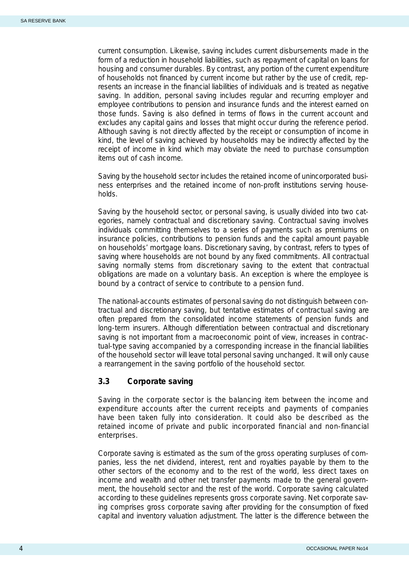<span id="page-6-0"></span>current consumption. Likewise, saving includes current disbursements made in the form of a reduction in household liabilities, such as repayment of capital on loans for housing and consumer durables. By contrast, any portion of the current expenditure of households not financed by current income but rather by the use of credit, represents an increase in the financial liabilities of individuals and is treated as negative saving. In addition, personal saving includes regular and recurring employer and employee contributions to pension and insurance funds and the interest earned on those funds. Saving is also defined in terms of flows in the current account and excludes any capital gains and losses that might occur during the reference period. Although saving is not directly affected by the receipt or consumption of income in kind, the level of saving achieved by households may be indirectly affected by the receipt of income in kind which may obviate the need to purchase consumption items out of cash income.

Saving by the household sector includes the retained income of unincorporated business enterprises and the retained income of non-profit institutions serving households.

Saving by the household sector, or personal saving, is usually divided into two categories, namely contractual and discretionary saving. Contractual saving involves individuals committing themselves to a series of payments such as premiums on insurance policies, contributions to pension funds and the capital amount payable on households' mortgage loans. Discretionary saving, by contrast, refers to types of saving where households are not bound by any fixed commitments. All contractual saving normally stems from discretionary saving to the extent that contractual obligations are made on a voluntary basis. An exception is where the employee is bound by a contract of service to contribute to a pension fund.

The national-accounts estimates of personal saving do not distinguish between contractual and discretionary saving, but tentative estimates of contractual saving are often prepared from the consolidated income statements of pension funds and long-term insurers. Although differentiation between contractual and discretionary saving is not important from a macroeconomic point of view, increases in contractual-type saving accompanied by a corresponding increase in the financial liabilities of the household sector will leave total personal saving unchanged. It will only cause a rearrangement in the saving portfolio of the household sector.

#### **3.3 Corporate saving**

Saving in the corporate sector is the balancing item between the income and expenditure accounts after the current receipts and payments of companies have been taken fully into consideration. It could also be described as the retained income of private and public incorporated financial and non-financial enterprises.

Corporate saving is estimated as the sum of the gross operating surpluses of companies, less the net dividend, interest, rent and royalties payable by them to the other sectors of the economy and to the rest of the world, less direct taxes on income and wealth and other net transfer payments made to the general government, the household sector and the rest of the world. Corporate saving calculated according to these guidelines represents gross corporate saving. Net corporate saving comprises gross corporate saving after providing for the consumption of fixed capital and inventory valuation adjustment. The latter is the difference between the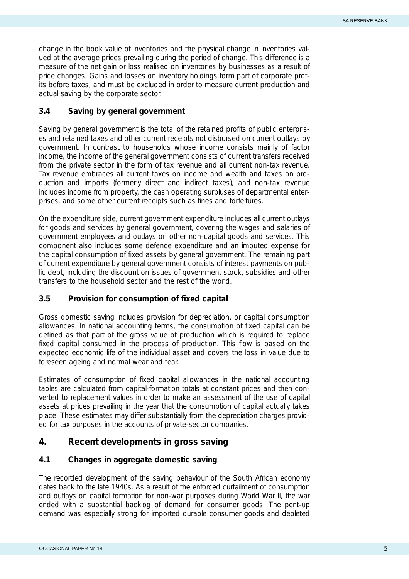<span id="page-7-0"></span>change in the book value of inventories and the physical change in inventories valued at the average prices prevailing during the period of change. This difference is a measure of the net gain or loss realised on inventories by businesses as a result of price changes. Gains and losses on inventory holdings form part of corporate profits before taxes, and must be excluded in order to measure current production and actual saving by the corporate sector.

#### **3.4 Saving by general government**

Saving by general government is the total of the retained profits of public enterprises and retained taxes and other current receipts not disbursed on current outlays by government. In contrast to households whose income consists mainly of factor income, the income of the general government consists of current transfers received from the private sector in the form of tax revenue and all current non-tax revenue. Tax revenue embraces all current taxes on income and wealth and taxes on production and imports (formerly direct and indirect taxes), and non-tax revenue includes income from property, the cash operating surpluses of departmental enterprises, and some other current receipts such as fines and forfeitures.

On the expenditure side, current government expenditure includes all current outlays for goods and services by general government, covering the wages and salaries of government employees and outlays on other non-capital goods and services. This component also includes some defence expenditure and an imputed expense for the capital consumption of fixed assets by general government. The remaining part of current expenditure by general government consists of interest payments on public debt, including the discount on issues of government stock, subsidies and other transfers to the household sector and the rest of the world.

#### **3.5 Provision for consumption of fixed capital**

Gross domestic saving includes provision for depreciation, or capital consumption allowances. In national accounting terms, the consumption of fixed capital can be defined as that part of the gross value of production which is required to replace fixed capital consumed in the process of production. This flow is based on the expected economic life of the individual asset and covers the loss in value due to foreseen ageing and normal wear and tear.

Estimates of consumption of fixed capital allowances in the national accounting tables are calculated from capital-formation totals at constant prices and then converted to replacement values in order to make an assessment of the use of capital assets at prices prevailing in the year that the consumption of capital actually takes place. These estimates may differ substantially from the depreciation charges provided for tax purposes in the accounts of private-sector companies.

## **4. Recent developments in gross saving**

#### **4.1 Changes in aggregate domestic saving**

The recorded development of the saving behaviour of the South African economy dates back to the late 1940s. As a result of the enforced curtailment of consumption and outlays on capital formation for non-war purposes during World War II, the war ended with a substantial backlog of demand for consumer goods. The pent-up demand was especially strong for imported durable consumer goods and depleted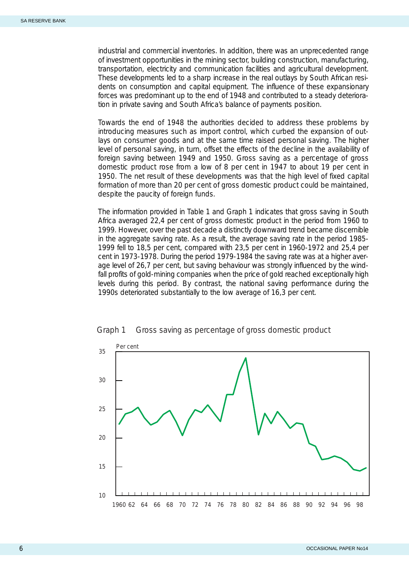<span id="page-8-0"></span>industrial and commercial inventories. In addition, there was an unprecedented range of investment opportunities in the mining sector, building construction, manufacturing, transportation, electricity and communication facilities and agricultural development. These developments led to a sharp increase in the real outlays by South African residents on consumption and capital equipment. The influence of these expansionary forces was predominant up to the end of 1948 and contributed to a steady deterioration in private saving and South Africa's balance of payments position.

Towards the end of 1948 the authorities decided to address these problems by introducing measures such as import control, which curbed the expansion of outlays on consumer goods and at the same time raised personal saving. The higher level of personal saving, in turn, offset the effects of the decline in the availability of foreign saving between 1949 and 1950. Gross saving as a percentage of gross domestic product rose from a low of 8 per cent in 1947 to about 19 per cent in 1950. The net result of these developments was that the high level of fixed capital formation of more than 20 per cent of gross domestic product could be maintained, despite the paucity of foreign funds.

The information provided in Table 1 and Graph 1 indicates that gross saving in South Africa averaged 22,4 per cent of gross domestic product in the period from 1960 to 1999. However, over the past decade a distinctly downward trend became discernible in the aggregate saving rate. As a result, the average saving rate in the period 1985- 1999 fell to 18,5 per cent, compared with 23,5 per cent in 1960-1972 and 25,4 per cent in 1973-1978. During the period 1979-1984 the saving rate was at a higher average level of 26,7 per cent, but saving behaviour was strongly influenced by the windfall profits of gold-mining companies when the price of gold reached exceptionally high levels during this period. By contrast, the national saving performance during the 1990s deteriorated substantially to the low average of 16,3 per cent.



Graph 1 Gross saving as percentage of gross domestic product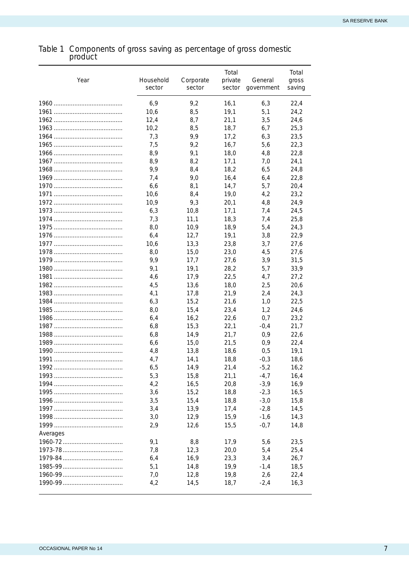#### <span id="page-9-0"></span>Table 1 Components of gross saving as percentage of gross domestic product

| Year     | Household<br>sector | Corporate<br>sector | Total<br>private<br>sector | General<br>government | Total<br>gross<br>saving |
|----------|---------------------|---------------------|----------------------------|-----------------------|--------------------------|
|          | 6,9                 | 9,2                 | 16,1                       | 6,3                   | 22,4                     |
|          | 10,6                | 8,5                 | 19,1                       | 5,1                   | 24,2                     |
|          | 12,4                | 8,7                 | 21,1                       | 3,5                   | 24,6                     |
|          | 10,2                | 8,5                 | 18,7                       | 6,7                   | 25,3                     |
|          | 7,3                 | 9,9                 | 17,2                       | 6,3                   | 23,5                     |
|          | 7,5                 | 9,2                 | 16,7                       | 5,6                   | 22,3                     |
|          | 8,9                 | 9,1                 | 18,0                       | 4,8                   | 22,8                     |
|          | 8,9                 | 8,2                 | 17,1                       | 7,0                   | 24,1                     |
|          | 9,9                 | 8,4                 | 18,2                       | 6,5                   | 24,8                     |
|          | 7,4                 | 9,0                 | 16,4                       | 6,4                   | 22,8                     |
|          | 6,6                 | 8,1                 | 14,7                       | 5,7                   | 20,4                     |
|          | 10,6                | 8,4                 | 19,0                       | 4,2                   | 23,2                     |
|          | 10,9                | 9,3                 | 20,1                       | 4,8                   | 24,9                     |
|          | 6,3                 | 10,8                | 17,1                       | 7,4                   | 24,5                     |
|          | 7,3                 | 11,1                | 18,3                       | 7,4                   | 25,8                     |
|          | 8,0                 | 10,9                | 18,9                       | 5,4                   | 24,3                     |
|          | 6,4                 | 12,7                | 19,1                       | 3,8                   | 22,9                     |
|          | 10,6                | 13,3                | 23,8                       | 3,7                   | 27,6                     |
|          | 8,0                 | 15,0                | 23,0                       | 4,5                   | 27,6                     |
|          | 9,9                 | 17,7                | 27.6                       | 3,9                   | 31,5                     |
|          | 9,1                 | 19,1                | 28,2                       | 5,7                   | 33,9                     |
|          | 4,6                 | 17,9                | 22,5                       | 4,7                   | 27,2                     |
|          | 4,5                 | 13,6                | 18,0                       | 2,5                   | 20,6                     |
|          | 4,1                 | 17,8                | 21,9                       | 2,4                   | 24,3                     |
|          | 6,3                 | 15,2                | 21,6                       | 1,0                   | 22,5                     |
|          | 8,0                 | 15,4                | 23,4                       | 1,2                   | 24,6                     |
|          | 6,4                 | 16,2                | 22,6                       | 0,7                   | 23,2                     |
|          | 6,8                 | 15,3                | 22,1                       | $-0,4$                | 21,7                     |
|          | 6,8                 | 14,9                | 21,7                       | 0,9                   | 22,6                     |
|          | 6,6                 | 15,0                | 21,5                       | 0,9                   | 22,4                     |
|          | 4,8                 | 13,8                | 18,6                       | 0,5                   | 19,1                     |
|          | 4,7                 | 14,1                | 18.8                       | $-0,3$                | 18,6                     |
|          | 6,5                 | 14,9                | 21,4                       | $-5,2$                | 16,2                     |
|          | 5,3                 | 15,8                | 21,1                       | $-4,7$                | 16,4                     |
|          | 4,2                 | 16,5                | 20,8                       | $-3,9$                | 16,9                     |
|          | 3,6                 | 15,2                | 18,8                       | $-2,3$                | 16,5                     |
|          | 3,5                 | 15,4                | 18,8                       | $-3,0$                | 15,8                     |
|          | 3,4                 | 13,9                | 17,4                       | $-2,8$                | 14,5                     |
|          | 3,0                 | 12,9                | 15,9                       | $-1,6$                | 14,3                     |
|          | 2,9                 | 12,6                | 15,5                       | $-0,7$                | 14,8                     |
| Averages |                     |                     |                            |                       |                          |
|          | 9,1                 | 8,8                 | 17,9                       | 5,6                   | 23,5                     |
|          | 7,8                 | 12,3                | 20,0                       | 5,4                   | 25,4                     |
|          | 6,4                 | 16,9                | 23,3                       | 3,4                   | 26,7                     |
|          | 5,1                 | 14,8                | 19,9                       | $-1,4$                | 18,5                     |
|          | 7,0                 | 12,8                | 19,8                       | 2,6                   | 22,4                     |
|          | 4,2                 | 14,5                | 18,7                       | $-2,4$                | 16,3                     |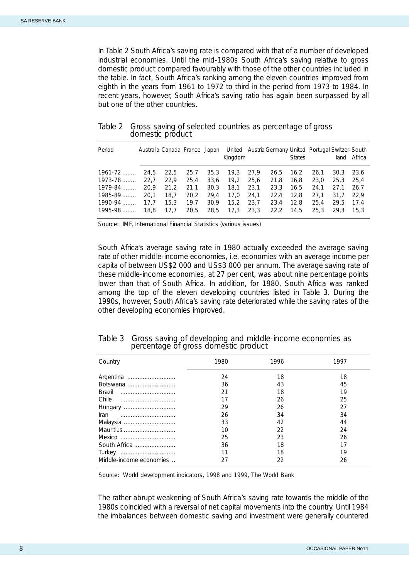<span id="page-10-0"></span>In Table 2 South Africa's saving rate is compared with that of a number of developed industrial economies. Until the mid-1980s South Africa's saving relative to gross domestic product compared favourably with those of the other countries included in the table. In fact, South Africa's ranking among the eleven countries improved from eighth in the years from 1961 to 1972 to third in the period from 1973 to 1984. In recent years, however, South Africa's saving ratio has again been surpassed by all but one of the other countries.

| Period      | Australia Canada France Japan |      |      |      | Kingdom |      | United Austria Germany United Portugal Switzer-South | <b>States</b> |      | land | Africa |
|-------------|-------------------------------|------|------|------|---------|------|------------------------------------------------------|---------------|------|------|--------|
| $1961 - 72$ | 24.5                          | 22.5 | 25.7 | 35,3 | 19.3    | 27.9 | 26,5                                                 | 16.2          | 26.1 | 30.3 | 23.6   |
| $1973 - 78$ | 22.7                          | 22.9 | 25.4 | 33,6 | 19.2    | 25.6 | 21.8                                                 | 16.8          | 23.0 | 25.3 | 25.4   |
| 1979-84     | 20.9                          | 21.2 | 21.1 | 30,3 | 18.1    | 23.1 | 23,3                                                 | 16.5          | 24.1 | 27.1 | 26.7   |
| $1985 - 89$ | 20.1                          | 18.7 | 20.2 | 29.4 | 17.0    | 24.1 | 22.4                                                 | 12.8          | 27.1 | 31.7 | 22.9   |
| 1990-94     | 17.7                          | 15.3 | 19.7 | 30.9 | 15.2    | 23.7 | 23.4                                                 | 12.8          | 25.4 | 29.5 | 17.4   |
| $1995-98$   | 18.8                          | 17.7 | 20.5 | 28.5 | 17,3    | 23,3 | 22,2                                                 | 14.5          | 25.3 | 29.3 | 15.3   |

#### Table 2 Gross saving of selected countries as percentage of gross domestic product

Source: IMF, *International Financial Statistics* (various issues)

South Africa's average saving rate in 1980 actually exceeded the average saving rate of other middle-income economies, i.e. economies with an average income per capita of between US\$2 000 and US\$3 000 per annum. The average saving rate of these middle-income economies, at 27 per cent, was about nine percentage points lower than that of South Africa. In addition, for 1980, South Africa was ranked among the top of the eleven developing countries listed in Table 3. During the 1990s, however, South Africa's saving rate deteriorated while the saving rates of the other developing economies improved.

| Country                 | 1980 | 1996 | 1997 |
|-------------------------|------|------|------|
| Argentina               | 24   | 18   | 18   |
| Botswana                | 36   | 43   | 45   |
| Brazil                  | 21   | 18   | 19   |
| Chile                   |      | 26   | 25   |
| Hungary                 | 29   | 26   | 27   |
| Iran                    | 26   | 34   | 34   |
| Malaysia                | 33   | 42   | 44   |
| Mauritius               | 10   | 22   | 24   |
| Mexico                  | 25   | 23   | 26   |
| South Africa            | 36   | 18   | 17   |
| Turkey                  |      | 18   | 19   |
| Middle-income economies |      | 22   | 26   |

| Table 3 Gross saving of developing and middle-income economies as |
|-------------------------------------------------------------------|
| percentage of gross domestic product                              |

Source: *World development indicators,* 1998 and 1999, The World Bank

The rather abrupt weakening of South Africa's saving rate towards the middle of the 1980s coincided with a reversal of net capital movements into the country. Until 1984 the imbalances between domestic saving and investment were generally countered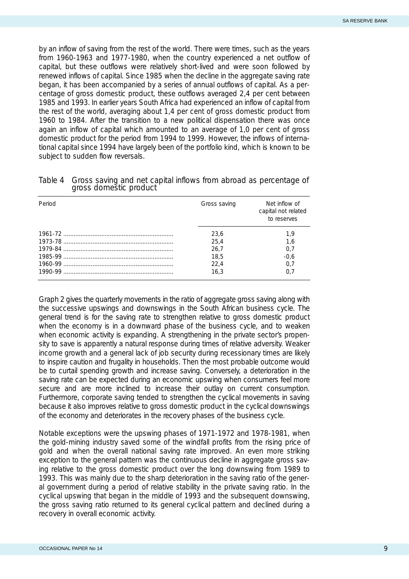<span id="page-11-0"></span>by an inflow of saving from the rest of the world. There were times, such as the years from 1960-1963 and 1977-1980, when the country experienced a net outflow of capital, but these outflows were relatively short-lived and were soon followed by renewed inflows of capital. Since 1985 when the decline in the aggregate saving rate began, it has been accompanied by a series of annual outflows of capital. As a percentage of gross domestic product, these outflows averaged 2,4 per cent between 1985 and 1993. In earlier years South Africa had experienced an inflow of capital from the rest of the world, averaging about 1,4 per cent of gross domestic product from 1960 to 1984. After the transition to a new political dispensation there was once again an inflow of capital which amounted to an average of 1,0 per cent of gross domestic product for the period from 1994 to 1999. However, the inflows of international capital since 1994 have largely been of the portfolio kind, which is known to be subject to sudden flow reversals.

| Period | Gross saving | Net inflow of<br>capital not related<br>to reserves |
|--------|--------------|-----------------------------------------------------|
|        | 23,6         | 1.9                                                 |
|        | 25.4         | 1.6                                                 |
|        | 26.7         | 0.7                                                 |
|        | 18.5         | $-0,6$                                              |
|        | 22.4         | 0.7                                                 |
|        | 16.3         | 0.7                                                 |

| Table 4 Gross saving and net capital inflows from abroad as percentage of |
|---------------------------------------------------------------------------|
| gross domestic product                                                    |

Graph 2 gives the quarterly movements in the ratio of aggregate gross saving along with the successive upswings and downswings in the South African business cycle. The general trend is for the saving rate to strengthen relative to gross domestic product when the economy is in a downward phase of the business cycle, and to weaken when economic activity is expanding. A strengthening in the private sector's propensity to save is apparently a natural response during times of relative adversity. Weaker income growth and a general lack of job security during recessionary times are likely to inspire caution and frugality in households. Then the most probable outcome would be to curtail spending growth and increase saving. Conversely, a deterioration in the saving rate can be expected during an economic upswing when consumers feel more secure and are more inclined to increase their outlay on current consumption. Furthermore, corporate saving tended to strengthen the cyclical movements in saving because it also improves relative to gross domestic product in the cyclical downswings of the economy and deteriorates in the recovery phases of the business cycle.

Notable exceptions were the upswing phases of 1971-1972 and 1978-1981, when the gold-mining industry saved some of the windfall profits from the rising price of gold and when the overall national saving rate improved. An even more striking exception to the general pattern was the continuous decline in aggregate gross saving relative to the gross domestic product over the long downswing from 1989 to 1993. This was mainly due to the sharp deterioration in the saving ratio of the general government during a period of relative stability in the private saving ratio. In the cyclical upswing that began in the middle of 1993 and the subsequent downswing, the gross saving ratio returned to its general cyclical pattern and declined during a recovery in overall economic activity.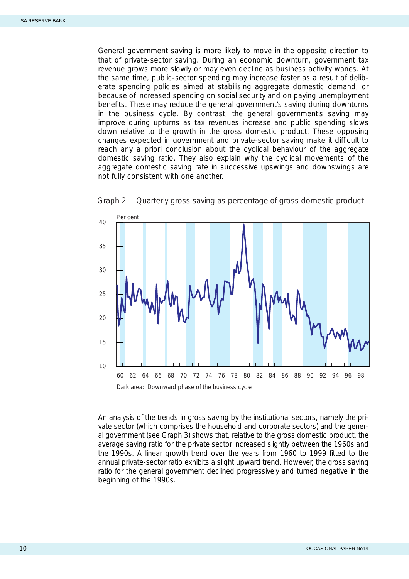<span id="page-12-0"></span>General government saving is more likely to move in the opposite direction to that of private-sector saving. During an economic downturn, government tax revenue grows more slowly or may even decline as business activity wanes. At the same time, public-sector spending may increase faster as a result of deliberate spending policies aimed at stabilising aggregate domestic demand, or because of increased spending on social security and on paying unemployment benefits. These may reduce the general government's saving during downturns in the business cycle. By contrast, the general government's saving may improve during upturns as tax revenues increase and public spending slows down relative to the growth in the gross domestic product. These opposing changes expected in government and private-sector saving make it difficult to reach any *a priori* conclusion about the cyclical behaviour of the aggregate domestic saving ratio. They also explain why the cyclical movements of the aggregate domestic saving rate in successive upswings and downswings are not fully consistent with one another.



Graph 2 Quarterly gross saving as percentage of gross domestic product

An analysis of the trends in gross saving by the institutional sectors, namely the private sector (which comprises the household and corporate sectors) and the general government (see Graph 3) shows that, relative to the gross domestic product, the average saving ratio for the private sector increased slightly between the 1960s and the 1990s. A linear growth trend over the years from 1960 to 1999 fitted to the annual private-sector ratio exhibits a slight upward trend. However, the gross saving ratio for the general government declined progressively and turned negative in the beginning of the 1990s.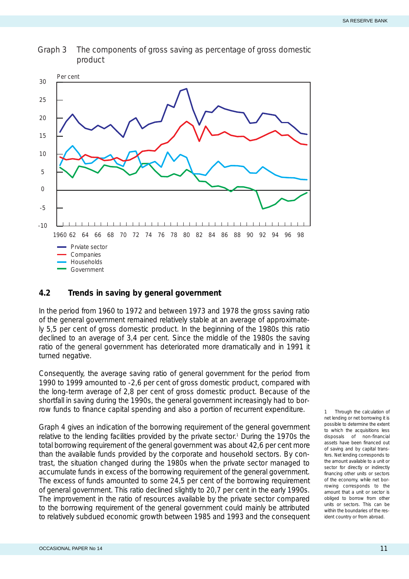<span id="page-13-0"></span>Graph 3 The components of gross saving as percentage of gross domestic product



### **4.2 Trends in saving by general government**

In the period from 1960 to 1972 and between 1973 and 1978 the gross saving ratio of the general government remained relatively stable at an average of approximately 5,5 per cent of gross domestic product. In the beginning of the 1980s this ratio declined to an average of 3,4 per cent. Since the middle of the 1980s the saving ratio of the general government has deteriorated more dramatically and in 1991 it turned negative.

Consequently, the average saving ratio of general government for the period from 1990 to 1999 amounted to -2,6 per cent of gross domestic product, compared with the long-term average of 2,8 per cent of gross domestic product. Because of the shortfall in saving during the 1990s, the general government increasingly had to borrow funds to finance capital spending and also a portion of recurrent expenditure.

Graph 4 gives an indication of the borrowing requirement of the general government relative to the lending facilities provided by the private sector. <sup>1</sup> During the 1970s the total borrowing requirement of the general government was about 42,6 per cent more than the available funds provided by the corporate and household sectors. By contrast, the situation changed during the 1980s when the private sector managed to accumulate funds in excess of the borrowing requirement of the general government. The excess of funds amounted to some 24,5 per cent of the borrowing requirement of general government. This ratio declined slightly to 20,7 per cent in the early 1990s. The improvement in the ratio of resources available by the private sector compared to the borrowing requirement of the general government could mainly be attributed to relatively subdued economic growth between 1985 and 1993 and the consequent

*1 Through the calculation of net lending or net borrowing it is possible to determine the extent to which the acquisitions less disposals of non-financial assets have been financed out of saving and by capital transfers. Net lending corresponds to the amount available to a unit or sector for directly or indirectly financing other units or sectors of the economy, while net borrowing corresponds to the amount that a unit or sector is obliged to borrow from other units or sectors. This can be within the boundaries of the resident country or from abroad.*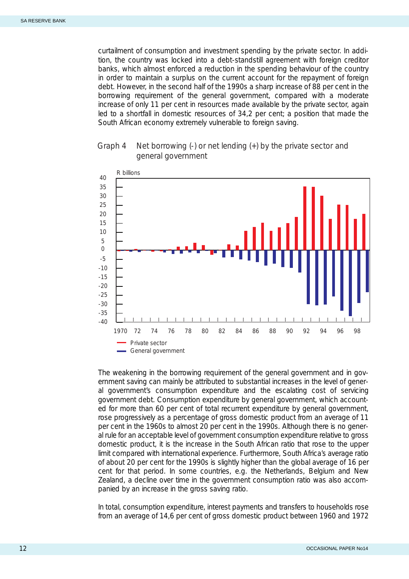<span id="page-14-0"></span>curtailment of consumption and investment spending by the private sector. In addition, the country was locked into a debt-standstill agreement with foreign creditor banks, which almost enforced a reduction in the spending behaviour of the country in order to maintain a surplus on the current account for the repayment of foreign debt. However, in the second half of the 1990s a sharp increase of 88 per cent in the borrowing requirement of the general government, compared with a moderate increase of only 11 per cent in resources made available by the private sector, again led to a shortfall in domestic resources of 34,2 per cent; a position that made the South African economy extremely vulnerable to foreign saving.





The weakening in the borrowing requirement of the general government and in government saving can mainly be attributed to substantial increases in the level of general government's consumption expenditure and the escalating cost of servicing government debt. Consumption expenditure by general government, which accounted for more than 60 per cent of total recurrent expenditure by general government, rose progressively as a percentage of gross domestic product from an average of 11 per cent in the 1960s to almost 20 per cent in the 1990s. Although there is no general rule for an acceptable level of government consumption expenditure relative to gross domestic product, it is the increase in the South African ratio that rose to the upper limit compared with international experience. Furthermore, South Africa's average ratio of about 20 per cent for the 1990s is slightly higher than the global average of 16 per cent for that period. In some countries, e.g. the Netherlands, Belgium and New Zealand, a decline over time in the government consumption ratio was also accompanied by an increase in the gross saving ratio.

In total, consumption expenditure, interest payments and transfers to households rose from an average of 14,6 per cent of gross domestic product between 1960 and 1972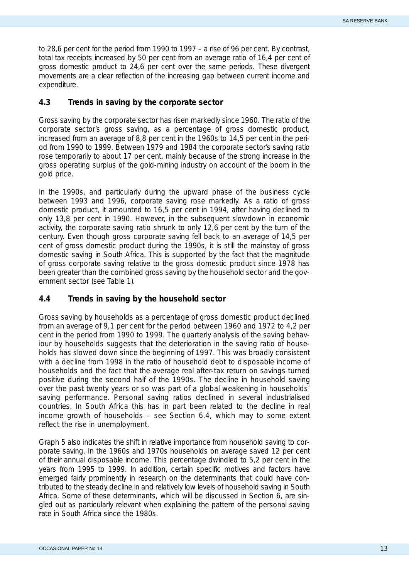<span id="page-15-0"></span>to 28,6 per cent for the period from 1990 to 1997 – a rise of 96 per cent. By contrast, total tax receipts increased by 50 per cent from an average ratio of 16,4 per cent of gross domestic product to 24,6 per cent over the same periods. These divergent movements are a clear reflection of the increasing gap between current income and expenditure.

#### **4.3 Trends in saving by the corporate sector**

Gross saving by the corporate sector has risen markedly since 1960. The ratio of the corporate sector's gross saving, as a percentage of gross domestic product, increased from an average of 8,8 per cent in the 1960s to 14,5 per cent in the period from 1990 to 1999. Between 1979 and 1984 the corporate sector's saving ratio rose temporarily to about 17 per cent, mainly because of the strong increase in the gross operating surplus of the gold-mining industry on account of the boom in the gold price.

In the 1990s, and particularly during the upward phase of the business cycle between 1993 and 1996, corporate saving rose markedly. As a ratio of gross domestic product, it amounted to 16,5 per cent in 1994, after having declined to only 13,8 per cent in 1990. However, in the subsequent slowdown in economic activity, the corporate saving ratio shrunk to only 12,6 per cent by the turn of the century. Even though gross corporate saving fell back to an average of 14,5 per cent of gross domestic product during the 1990s, it is still the mainstay of gross domestic saving in South Africa. This is supported by the fact that the magnitude of gross corporate saving relative to the gross domestic product since 1978 has been greater than the combined gross saving by the household sector and the government sector (see Table 1).

#### **4.4 Trends in saving by the household sector**

Gross saving by households as a percentage of gross domestic product declined from an average of 9,1 per cent for the period between 1960 and 1972 to 4,2 per cent in the period from 1990 to 1999. The quarterly analysis of the saving behaviour by households suggests that the deterioration in the saving ratio of households has slowed down since the beginning of 1997. This was broadly consistent with a decline from 1998 in the ratio of household debt to disposable income of households and the fact that the average real after-tax return on savings turned positive during the second half of the 1990s. The decline in household saving over the past twenty years or so was part of a global weakening in households' saving performance. Personal saving ratios declined in several industrialised countries. In South Africa this has in part been related to the decline in real income growth of households – see Section 6.4, which may to some extent reflect the rise in unemployment.

Graph 5 also indicates the shift in relative importance from household saving to corporate saving. In the 1960s and 1970s households on average saved 12 per cent of their annual disposable income. This percentage dwindled to 5,2 per cent in the years from 1995 to 1999. In addition, certain specific motives and factors have emerged fairly prominently in research on the determinants that could have contributed to the steady decline in and relatively low levels of household saving in South Africa. Some of these determinants, which will be discussed in Section 6, are singled out as particularly relevant when explaining the pattern of the personal saving rate in South Africa since the 1980s.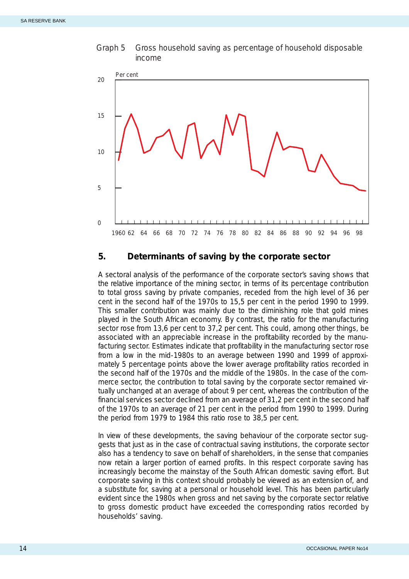<span id="page-16-0"></span>



#### **5. Determinants of saving by the corporate sector**

A sectoral analysis of the performance of the corporate sector's saving shows that the relative importance of the mining sector, in terms of its percentage contribution to total gross saving by private companies, receded from the high level of 36 per cent in the second half of the 1970s to 15,5 per cent in the period 1990 to 1999. This smaller contribution was mainly due to the diminishing role that gold mines played in the South African economy. By contrast, the ratio for the manufacturing sector rose from 13,6 per cent to 37,2 per cent. This could, among other things, be associated with an appreciable increase in the profitability recorded by the manufacturing sector. Estimates indicate that profitability in the manufacturing sector rose from a low in the mid-1980s to an average between 1990 and 1999 of approximately 5 percentage points above the lower average profitability ratios recorded in the second half of the 1970s and the middle of the 1980s. In the case of the commerce sector, the contribution to total saving by the corporate sector remained virtually unchanged at an average of about 9 per cent, whereas the contribution of the financial services sector declined from an average of 31,2 per cent in the second half of the 1970s to an average of 21 per cent in the period from 1990 to 1999. During the period from 1979 to 1984 this ratio rose to 38,5 per cent.

In view of these developments, the saving behaviour of the corporate sector suggests that just as in the case of contractual saving institutions, the corporate sector also has a tendency to save on behalf of shareholders, in the sense that companies now retain a larger portion of earned profits. In this respect corporate saving has increasingly become the mainstay of the South African domestic saving effort. But corporate saving in this context should probably be viewed as an extension of, and a substitute for, saving at a personal or household level. This has been particularly evident since the 1980s when gross and net saving by the corporate sector relative to gross domestic product have exceeded the corresponding ratios recorded by households' saving.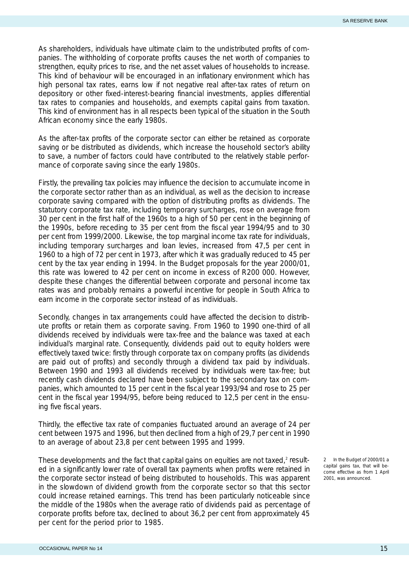As shareholders, individuals have ultimate claim to the undistributed profits of companies. The withholding of corporate profits causes the net worth of companies to strengthen, equity prices to rise, and the net asset values of households to increase. This kind of behaviour will be encouraged in an inflationary environment which has high personal tax rates, earns low if not negative real after-tax rates of return on depository or other fixed-interest-bearing financial investments, applies differential tax rates to companies and households, and exempts capital gains from taxation. This kind of environment has in all respects been typical of the situation in the South African economy since the early 1980s.

As the after-tax profits of the corporate sector can either be retained as corporate saving or be distributed as dividends, which increase the household sector's ability to save, a number of factors could have contributed to the relatively stable performance of corporate saving since the early 1980s.

Firstly, the prevailing tax policies may influence the decision to accumulate income in the corporate sector rather than as an individual, as well as the decision to increase corporate saving compared with the option of distributing profits as dividends. The statutory corporate tax rate, including temporary surcharges, rose on average from 30 per cent in the first half of the 1960s to a high of 50 per cent in the beginning of the 1990s, before receding to 35 per cent from the fiscal year 1994/95 and to 30 per cent from 1999/2000. Likewise, the top marginal income tax rate for individuals, including temporary surcharges and loan levies, increased from 47,5 per cent in 1960 to a high of 72 per cent in 1973, after which it was gradually reduced to 45 per cent by the tax year ending in 1994. In the Budget proposals for the year 2000/01, this rate was lowered to 42 per cent on income in excess of R200 000. However, despite these changes the differential between corporate and personal income tax rates was and probably remains a powerful incentive for people in South Africa to earn income in the corporate sector instead of as individuals.

Secondly, changes in tax arrangements could have affected the decision to distribute profits or retain them as corporate saving. From 1960 to 1990 one-third of all dividends received by individuals were tax-free and the balance was taxed at each individual's marginal rate. Consequently, dividends paid out to equity holders were effectively taxed twice: firstly through corporate tax on company profits (as dividends are paid out of profits) and secondly through a dividend tax paid by individuals. Between 1990 and 1993 all dividends received by individuals were tax-free; but recently cash dividends declared have been subject to the secondary tax on companies, which amounted to 15 per cent in the fiscal year 1993/94 and rose to 25 per cent in the fiscal year 1994/95, before being reduced to 12,5 per cent in the ensuing five fiscal years.

Thirdly, the effective tax rate of companies fluctuated around an average of 24 per cent between 1975 and 1996, but then declined from a high of 29,7 per cent in 1990 to an average of about 23,8 per cent between 1995 and 1999.

These developments and the fact that capital gains on equities are not taxed, $2$  resulted in a significantly lower rate of overall tax payments when profits were retained in the corporate sector instead of being distributed to households. This was apparent in the slowdown of dividend growth from the corporate sector so that this sector could increase retained earnings. This trend has been particularly noticeable since the middle of the 1980s when the average ratio of dividends paid as percentage of corporate profits before tax, declined to about 36,2 per cent from approximately 45 per cent for the period prior to 1985.

*2 In the Budget of 2000/01 a capital gains tax, that will become effective as from 1 April 2001, was announced.*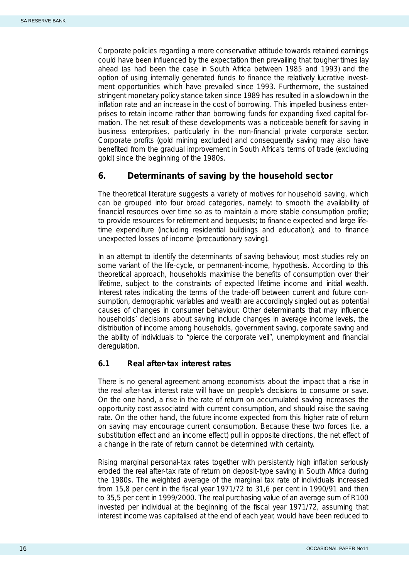<span id="page-18-0"></span>Corporate policies regarding a more conservative attitude towards retained earnings could have been influenced by the expectation then prevailing that tougher times lay ahead (as had been the case in South Africa between 1985 and 1993) and the option of using internally generated funds to finance the relatively lucrative investment opportunities which have prevailed since 1993. Furthermore, the sustained stringent monetary policy stance taken since 1989 has resulted in a slowdown in the inflation rate and an increase in the cost of borrowing. This impelled business enterprises to retain income rather than borrowing funds for expanding fixed capital formation. The net result of these developments was a noticeable benefit for saving in business enterprises, particularly in the non-financial private corporate sector. Corporate profits (gold mining excluded) and consequently saving may also have benefited from the gradual improvement in South Africa's terms of trade (excluding gold) since the beginning of the 1980s.

# **6. Determinants of saving by the household sector**

The theoretical literature suggests a variety of motives for household saving, which can be grouped into four broad categories, namely: to smooth the availability of financial resources over time so as to maintain a more stable consumption profile; to provide resources for retirement and bequests; to finance expected and large lifetime expenditure (including residential buildings and education); and to finance unexpected losses of income (precautionary saving).

In an attempt to identify the determinants of saving behaviour, most studies rely on some variant of the life-cycle, or permanent-income, hypothesis. According to this theoretical approach, households maximise the benefits of consumption over their lifetime, subject to the constraints of expected lifetime income and initial wealth. Interest rates indicating the terms of the trade-off between current and future consumption, demographic variables and wealth are accordingly singled out as potential causes of changes in consumer behaviour. Other determinants that may influence households' decisions about saving include changes in average income levels, the distribution of income among households, government saving, corporate saving and the ability of individuals to "pierce the corporate veil", unemployment and financial deregulation.

#### **6.1 Real after-tax interest rates**

There is no general agreement among economists about the impact that a rise in the real after-tax interest rate will have on people's decisions to consume or save. On the one hand, a rise in the rate of return on accumulated saving increases the opportunity cost associated with current consumption, and should raise the saving rate. On the other hand, the future income expected from this higher rate of return on saving may encourage current consumption. Because these two forces (i.e. a substitution effect and an income effect) pull in opposite directions, the net effect of a change in the rate of return cannot be determined with certainty.

Rising marginal personal-tax rates together with persistently high inflation seriously eroded the real after-tax rate of return on deposit-type saving in South Africa during the 1980s. The weighted average of the marginal tax rate of individuals increased from 15,8 per cent in the fiscal year 1971/72 to 31,6 per cent in 1990/91 and then to 35,5 per cent in 1999/2000. The real purchasing value of an average sum of R100 invested per individual at the beginning of the fiscal year 1971/72, assuming that interest income was capitalised at the end of each year, would have been reduced to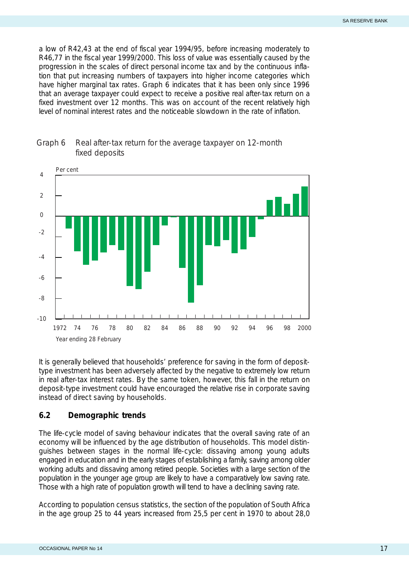<span id="page-19-0"></span>a low of R42,43 at the end of fiscal year 1994/95, before increasing moderately to R46,77 in the fiscal year 1999/2000. This loss of value was essentially caused by the progression in the scales of direct personal income tax and by the continuous inflation that put increasing numbers of taxpayers into higher income categories which have higher marginal tax rates. Graph 6 indicates that it has been only since 1996 that an average taxpayer could expect to receive a positive real after-tax return on a fixed investment over 12 months. This was on account of the recent relatively high level of nominal interest rates and the noticeable slowdown in the rate of inflation.



### Graph 6 Real after-tax return for the average taxpayer on 12-month fixed deposits

It is generally believed that households' preference for saving in the form of deposittype investment has been adversely affected by the negative to extremely low return in real after-tax interest rates. By the same token, however, this fall in the return on deposit-type investment could have encouraged the relative rise in corporate saving instead of direct saving by households.

#### **6.2 Demographic trends**

The life-cycle model of saving behaviour indicates that the overall saving rate of an economy will be influenced by the age distribution of households. This model distinguishes between stages in the normal life-cycle: dissaving among young adults engaged in education and in the early stages of establishing a family, saving among older working adults and dissaving among retired people. Societies with a large section of the population in the younger age group are likely to have a comparatively low saving rate. Those with a high rate of population growth will tend to have a declining saving rate.

According to population census statistics, the section of the population of South Africa in the age group 25 to 44 years increased from 25,5 per cent in 1970 to about 28,0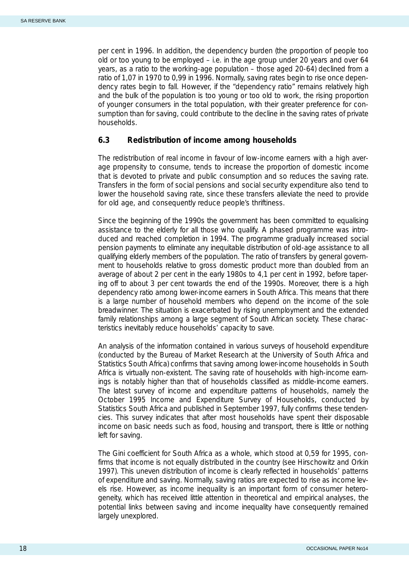<span id="page-20-0"></span>per cent in 1996. In addition, the dependency burden (the proportion of people too old or too young to be employed  $-$  i.e. in the age group under 20 years and over 64 years, as a ratio to the working-age population – those aged 20-64) declined from a ratio of 1,07 in 1970 to 0,99 in 1996. Normally, saving rates begin to rise once dependency rates begin to fall. However, if the "dependency ratio" remains relatively high and the bulk of the population is too young or too old to work, the rising proportion of younger consumers in the total population, with their greater preference for consumption than for saving, could contribute to the decline in the saving rates of private households.

#### **6.3 Redistribution of income among households**

The redistribution of real income in favour of low-income earners with a high average propensity to consume, tends to increase the proportion of domestic income that is devoted to private and public consumption and so reduces the saving rate. Transfers in the form of social pensions and social security expenditure also tend to lower the household saving rate, since these transfers alleviate the need to provide for old age, and consequently reduce people's thriftiness.

Since the beginning of the 1990s the government has been committed to equalising assistance to the elderly for all those who qualify. A phased programme was introduced and reached completion in 1994. The programme gradually increased social pension payments to eliminate any inequitable distribution of old-age assistance to all qualifying elderly members of the population. The ratio of transfers by general government to households relative to gross domestic product more than doubled from an average of about 2 per cent in the early 1980s to 4,1 per cent in 1992, before tapering off to about 3 per cent towards the end of the 1990s. Moreover, there is a high dependency ratio among lower-income earners in South Africa. This means that there is a large number of household members who depend on the income of the sole breadwinner. The situation is exacerbated by rising unemployment and the extended family relationships among a large segment of South African society. These characteristics inevitably reduce households' capacity to save.

An analysis of the information contained in various surveys of household expenditure (conducted by the Bureau of Market Research at the University of South Africa and Statistics South Africa) confirms that saving among lower-income households in South Africa is virtually non-existent. The saving rate of households with high-income earnings is notably higher than that of households classified as middle-income earners. The latest survey of income and expenditure patterns of households, namely the *October 1995 Income and Expenditure Survey of Households,* conducted by Statistics South Africa and published in September 1997, fully confirms these tendencies. This survey indicates that after most households have spent their disposable income on basic needs such as food, housing and transport, there is little or nothing left for saving.

The Gini coefficient for South Africa as a whole, which stood at 0,59 for 1995, confirms that income is not equally distributed in the country (see Hirschowitz and Orkin 1997). This uneven distribution of income is clearly reflected in households' patterns of expenditure and saving. Normally, saving ratios are expected to rise as income levels rise. However, as income inequality is an important form of consumer heterogeneity, which has received little attention in theoretical and empirical analyses, the potential links between saving and income inequality have consequently remained largely unexplored.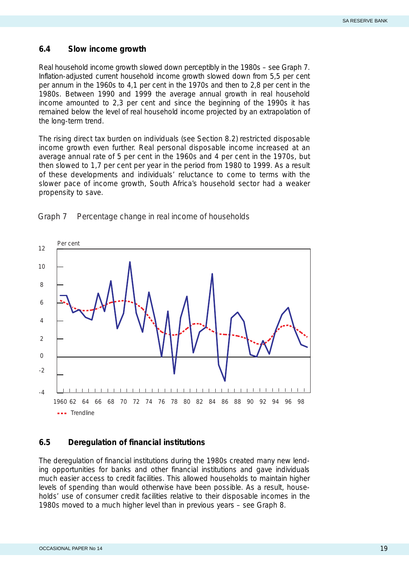#### <span id="page-21-0"></span>**6.4 Slow income growth**

Real household income growth slowed down perceptibly in the 1980s – see Graph 7. Inflation-adjusted current household income growth slowed down from 5,5 per cent per annum in the 1960s to 4,1 per cent in the 1970s and then to 2,8 per cent in the 1980s. Between 1990 and 1999 the average annual growth in real household income amounted to 2,3 per cent and since the beginning of the 1990s it has remained below the level of real household income projected by an extrapolation of the long-term trend.

The rising direct tax burden on individuals (see Section 8.2) restricted disposable income growth even further. Real personal disposable income increased at an average annual rate of 5 per cent in the 1960s and 4 per cent in the 1970s, but then slowed to 1,7 per cent per year in the period from 1980 to 1999. As a result of these developments and individuals' reluctance to come to terms with the slower pace of income growth, South Africa's household sector had a weaker propensity to save.



Graph 7 Percentage change in real income of households

### **6.5 Deregulation of financial institutions**

The deregulation of financial institutions during the 1980s created many new lending opportunities for banks and other financial institutions and gave individuals much easier access to credit facilities. This allowed households to maintain higher levels of spending than would otherwise have been possible. As a result, households' use of consumer credit facilities relative to their disposable incomes in the 1980s moved to a much higher level than in previous years – see Graph 8.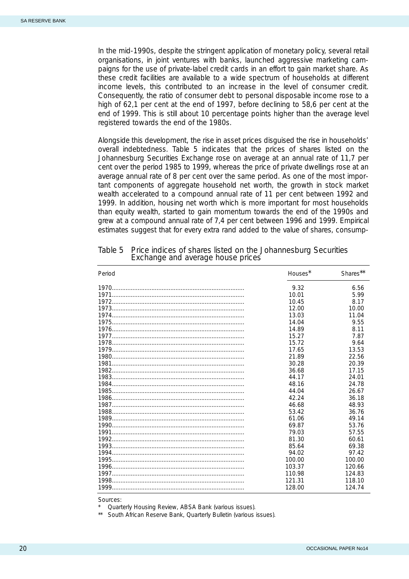<span id="page-22-0"></span>In the mid-1990s, despite the stringent application of monetary policy, several retail organisations, in joint ventures with banks, launched aggressive marketing campaigns for the use of private-label credit cards in an effort to gain market share. As these credit facilities are available to a wide spectrum of households at different income levels, this contributed to an increase in the level of consumer credit. Consequently, the ratio of consumer debt to personal disposable income rose to a high of 62,1 per cent at the end of 1997, before declining to 58,6 per cent at the end of 1999. This is still about 10 percentage points higher than the average level registered towards the end of the 1980s.

Alongside this development, the rise in asset prices disguised the rise in households' overall indebtedness. Table 5 indicates that the prices of shares listed on the Johannesburg Securities Exchange rose on average at an annual rate of 11,7 per cent over the period 1985 to 1999, whereas the price of private dwellings rose at an average annual rate of 8 per cent over the same period. As one of the most important components of aggregate household net worth, the growth in stock market wealth accelerated to a compound annual rate of 11 per cent between 1992 and 1999. In addition, housing net worth which is more important for most households than equity wealth, started to gain momentum towards the end of the 1990s and grew at a compound annual rate of 7,4 per cent between 1996 and 1999. Empirical estimates suggest that for every extra rand added to the value of shares, consump-

| 6.56<br>9.32<br>5.99<br>10.01<br>10.45<br>8.17<br>12.00<br>10.00<br>11.04<br>13.03<br>14.04<br>9.55<br>14.89<br>8.11<br>7.87<br>15.27<br>9.64<br>15.72<br>13.53<br>17.65<br>21.89<br>22.56<br>30.28<br>20.39<br>36.68<br>17.15<br>44.17<br>24.01<br>48.16<br>24.78<br>44.04<br>26.67<br>42.24<br>36.18<br>46.68<br>48.93<br>53.42<br>36.76<br>61.06<br>49.14<br>69.87<br>53.76<br>79.03<br>57.55<br>81.30<br>60.61<br>85.64<br>69.38<br>94.02<br>97.42<br>100.00<br>100.00<br>103.37<br>120.66<br>110.98<br>124.83<br>121.31<br>118.10<br>128.00<br>124.74 | Period | Houses* | Shares** |
|------------------------------------------------------------------------------------------------------------------------------------------------------------------------------------------------------------------------------------------------------------------------------------------------------------------------------------------------------------------------------------------------------------------------------------------------------------------------------------------------------------------------------------------------------------|--------|---------|----------|
|                                                                                                                                                                                                                                                                                                                                                                                                                                                                                                                                                            |        |         |          |
|                                                                                                                                                                                                                                                                                                                                                                                                                                                                                                                                                            |        |         |          |
|                                                                                                                                                                                                                                                                                                                                                                                                                                                                                                                                                            |        |         |          |
|                                                                                                                                                                                                                                                                                                                                                                                                                                                                                                                                                            |        |         |          |
|                                                                                                                                                                                                                                                                                                                                                                                                                                                                                                                                                            |        |         |          |
|                                                                                                                                                                                                                                                                                                                                                                                                                                                                                                                                                            |        |         |          |
|                                                                                                                                                                                                                                                                                                                                                                                                                                                                                                                                                            |        |         |          |
|                                                                                                                                                                                                                                                                                                                                                                                                                                                                                                                                                            |        |         |          |
|                                                                                                                                                                                                                                                                                                                                                                                                                                                                                                                                                            |        |         |          |
|                                                                                                                                                                                                                                                                                                                                                                                                                                                                                                                                                            |        |         |          |
|                                                                                                                                                                                                                                                                                                                                                                                                                                                                                                                                                            |        |         |          |
|                                                                                                                                                                                                                                                                                                                                                                                                                                                                                                                                                            |        |         |          |
|                                                                                                                                                                                                                                                                                                                                                                                                                                                                                                                                                            |        |         |          |
|                                                                                                                                                                                                                                                                                                                                                                                                                                                                                                                                                            |        |         |          |
|                                                                                                                                                                                                                                                                                                                                                                                                                                                                                                                                                            |        |         |          |
|                                                                                                                                                                                                                                                                                                                                                                                                                                                                                                                                                            |        |         |          |
|                                                                                                                                                                                                                                                                                                                                                                                                                                                                                                                                                            |        |         |          |
|                                                                                                                                                                                                                                                                                                                                                                                                                                                                                                                                                            |        |         |          |
|                                                                                                                                                                                                                                                                                                                                                                                                                                                                                                                                                            |        |         |          |
|                                                                                                                                                                                                                                                                                                                                                                                                                                                                                                                                                            |        |         |          |
|                                                                                                                                                                                                                                                                                                                                                                                                                                                                                                                                                            |        |         |          |
|                                                                                                                                                                                                                                                                                                                                                                                                                                                                                                                                                            |        |         |          |
|                                                                                                                                                                                                                                                                                                                                                                                                                                                                                                                                                            |        |         |          |
|                                                                                                                                                                                                                                                                                                                                                                                                                                                                                                                                                            |        |         |          |
|                                                                                                                                                                                                                                                                                                                                                                                                                                                                                                                                                            |        |         |          |
|                                                                                                                                                                                                                                                                                                                                                                                                                                                                                                                                                            |        |         |          |
|                                                                                                                                                                                                                                                                                                                                                                                                                                                                                                                                                            |        |         |          |
|                                                                                                                                                                                                                                                                                                                                                                                                                                                                                                                                                            |        |         |          |
|                                                                                                                                                                                                                                                                                                                                                                                                                                                                                                                                                            |        |         |          |
|                                                                                                                                                                                                                                                                                                                                                                                                                                                                                                                                                            |        |         |          |

# Table 5 Price indices of shares listed on the Johannesburg Securities Exchange and average house prices

Sources:

*Quarterly Housing Review, ABSA Bank (various issues).* 

\*\* South African Reserve Bank, *Quarterly Bulletin* (various issues).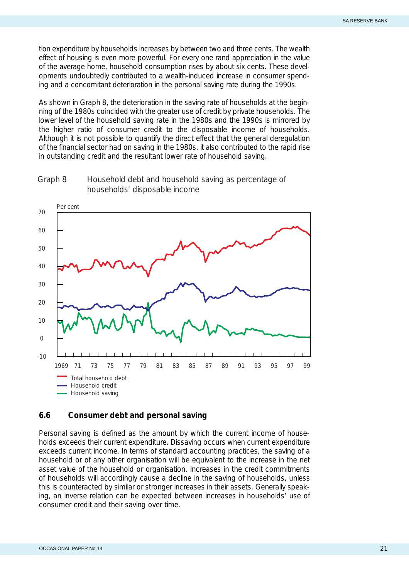<span id="page-23-0"></span>tion expenditure by households increases by between two and three cents. The wealth effect of housing is even more powerful. For every one rand appreciation in the value of the average home, household consumption rises by about six cents. These developments undoubtedly contributed to a wealth-induced increase in consumer spending and a concomitant deterioration in the personal saving rate during the 1990s.

As shown in Graph 8, the deterioration in the saving rate of households at the beginning of the 1980s coincided with the greater use of credit by private households. The lower level of the household saving rate in the 1980s and the 1990s is mirrored by the higher ratio of consumer credit to the disposable income of households. Although it is not possible to quantify the direct effect that the general deregulation of the financial sector had on saving in the 1980s, it also contributed to the rapid rise in outstanding credit and the resultant lower rate of household saving.





#### **6.6 Consumer debt and personal saving**

Personal saving is defined as the amount by which the current income of households exceeds their current expenditure. Dissaving occurs when current expenditure exceeds current income. In terms of standard accounting practices, the saving of a household or of any other organisation will be equivalent to the increase in the net asset value of the household or organisation. Increases in the credit commitments of households will accordingly cause a decline in the saving of households, unless this is counteracted by similar or stronger increases in their assets. Generally speaking, an inverse relation can be expected between increases in households' use of consumer credit and their saving over time.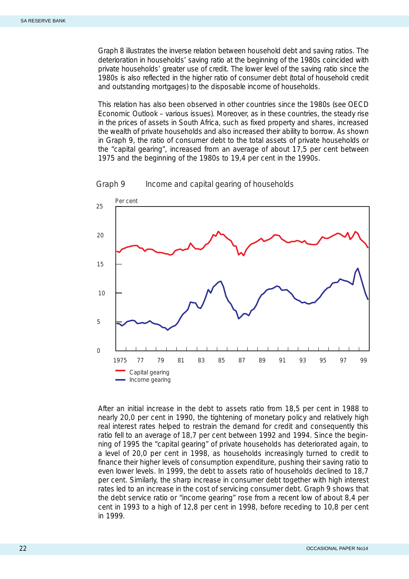<span id="page-24-0"></span>Graph 8 illustrates the inverse relation between household debt and saving ratios. The deterioration in households' saving ratio at the beginning of the 1980s coincided with private households' greater use of credit. The lower level of the saving ratio since the 1980s is also reflected in the higher ratio of consumer debt (total of household credit and outstanding mortgages) to the disposable income of households.

This relation has also been observed in other countries since the 1980s (see OECD *Economic Outlook* – various issues). Moreover, as in these countries, the steady rise in the prices of assets in South Africa, such as fixed property and shares, increased the wealth of private households and also increased their ability to borrow. As shown in Graph 9, the ratio of consumer debt to the total assets of private households or the "capital gearing", increased from an average of about 17,5 per cent between 1975 and the beginning of the 1980s to 19,4 per cent in the 1990s.



Graph 9 Income and capital gearing of households

After an initial increase in the debt to assets ratio from 18,5 per cent in 1988 to nearly 20,0 per cent in 1990, the tightening of monetary policy and relatively high real interest rates helped to restrain the demand for credit and consequently this ratio fell to an average of 18,7 per cent between 1992 and 1994. Since the beginning of 1995 the "capital gearing" of private households has deteriorated again, to a level of 20,0 per cent in 1998, as households increasingly turned to credit to finance their higher levels of consumption expenditure, pushing their saving ratio to even lower levels. In 1999, the debt to assets ratio of households declined to 18,7 per cent. Similarly, the sharp increase in consumer debt together with high interest rates led to an increase in the cost of servicing consumer debt. Graph 9 shows that the debt service ratio or "income gearing" rose from a recent low of about 8,4 per cent in 1993 to a high of 12,8 per cent in 1998, before receding to 10,8 per cent in 1999.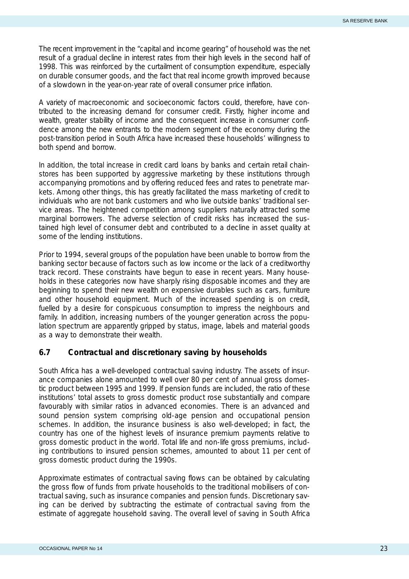<span id="page-25-0"></span>The recent improvement in the "capital and income gearing" of household was the net result of a gradual decline in interest rates from their high levels in the second half of 1998. This was reinforced by the curtailment of consumption expenditure, especially on durable consumer goods, and the fact that real income growth improved because of a slowdown in the year-on-year rate of overall consumer price inflation.

A variety of macroeconomic and socioeconomic factors could, therefore, have contributed to the increasing demand for consumer credit. Firstly, higher income and wealth, greater stability of income and the consequent increase in consumer confidence among the new entrants to the modern segment of the economy during the post-transition period in South Africa have increased these households' willingness to both spend and borrow.

In addition, the total increase in credit card loans by banks and certain retail chainstores has been supported by aggressive marketing by these institutions through accompanying promotions and by offering reduced fees and rates to penetrate markets. Among other things, this has greatly facilitated the mass marketing of credit to individuals who are not bank customers and who live outside banks' traditional service areas. The heightened competition among suppliers naturally attracted some marginal borrowers. The adverse selection of credit risks has increased the sustained high level of consumer debt and contributed to a decline in asset quality at some of the lending institutions.

Prior to 1994, several groups of the population have been unable to borrow from the banking sector because of factors such as low income or the lack of a creditworthy track record. These constraints have begun to ease in recent years. Many households in these categories now have sharply rising disposable incomes and they are beginning to spend their new wealth on expensive durables such as cars, furniture and other household equipment. Much of the increased spending is on credit, fuelled by a desire for conspicuous consumption to impress the neighbours and family. In addition, increasing numbers of the younger generation across the population spectrum are apparently gripped by status, image, labels and material goods as a way to demonstrate their wealth.

#### **6.7 Contractual and discretionary saving by households**

South Africa has a well-developed contractual saving industry. The assets of insurance companies alone amounted to well over 80 per cent of annual gross domestic product between 1995 and 1999. If pension funds are included, the ratio of these institutions' total assets to gross domestic product rose substantially and compare favourably with similar ratios in advanced economies. There is an advanced and sound pension system comprising old-age pension and occupational pension schemes. In addition, the insurance business is also well-developed; in fact, the country has one of the highest levels of insurance premium payments relative to gross domestic product in the world. Total life and non-life gross premiums, including contributions to insured pension schemes, amounted to about 11 per cent of gross domestic product during the 1990s.

Approximate estimates of contractual saving flows can be obtained by calculating the gross flow of funds from private households to the traditional mobilisers of contractual saving, such as insurance companies and pension funds. Discretionary saving can be derived by subtracting the estimate of contractual saving from the estimate of aggregate household saving. The overall level of saving in South Africa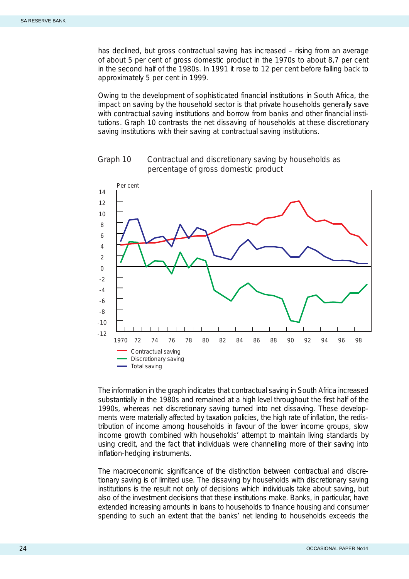<span id="page-26-0"></span>has declined, but gross contractual saving has increased – rising from an average of about 5 per cent of gross domestic product in the 1970s to about 8,7 per cent in the second half of the 1980s. In 1991 it rose to 12 per cent before falling back to approximately 5 per cent in 1999.

Owing to the development of sophisticated financial institutions in South Africa, the impact on saving by the household sector is that private households generally save with contractual saving institutions and borrow from banks and other financial institutions. Graph 10 contrasts the net dissaving of households at these discretionary saving institutions with their saving at contractual saving institutions.



Graph 10 Contractual and discretionary saving by households as percentage of gross domestic product

The information in the graph indicates that contractual saving in South Africa increased substantially in the 1980s and remained at a high level throughout the first half of the 1990s, whereas net discretionary saving turned into net dissaving. These developments were materially affected by taxation policies, the high rate of inflation, the redistribution of income among households in favour of the lower income groups, slow income growth combined with households' attempt to maintain living standards by using credit, and the fact that individuals were channelling more of their saving into inflation-hedging instruments.

The macroeconomic significance of the distinction between contractual and discretionary saving is of limited use. The dissaving by households with discretionary saving institutions is the result not only of decisions which individuals take about saving, but also of the investment decisions that these institutions make. Banks, in particular, have extended increasing amounts in loans to households to finance housing and consumer spending to such an extent that the banks' net lending to households exceeds the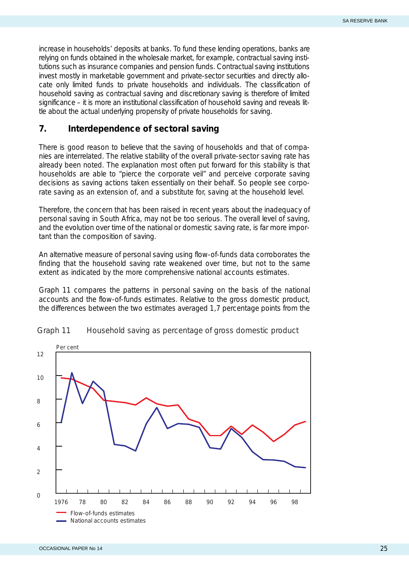<span id="page-27-0"></span>increase in households' deposits at banks. To fund these lending operations, banks are relying on funds obtained in the wholesale market, for example, contractual saving institutions such as insurance companies and pension funds. Contractual saving institutions invest mostly in marketable government and private-sector securities and directly allocate only limited funds to private households and individuals. The classification of household saving as contractual saving and discretionary saving is therefore of limited significance – it is more an institutional classification of household saving and reveals little about the actual underlying propensity of private households for saving.

#### **7. Interdependence of sectoral saving**

There is good reason to believe that the saving of households and that of companies are interrelated. The relative stability of the overall private-sector saving rate has already been noted. The explanation most often put forward for this stability is that households are able to "pierce the corporate veil" and perceive corporate saving decisions as saving actions taken essentially on their behalf. So people see corporate saving as an extension of, and a substitute for, saving at the household level.

Therefore, the concern that has been raised in recent years about the inadequacy of personal saving in South Africa, may not be too serious. The overall level of saving, and the evolution over time of the national or domestic saving rate, is far more important than the composition of saving.

An alternative measure of personal saving using flow-of-funds data corroborates the finding that the household saving rate weakened over time, but not to the same extent as indicated by the more comprehensive national accounts estimates.

Graph 11 compares the patterns in personal saving on the basis of the national accounts and the flow-of-funds estimates. Relative to the gross domestic product, the differences between the two estimates averaged 1,7 percentage points from the



#### Graph 11 Household saving as percentage of gross domestic product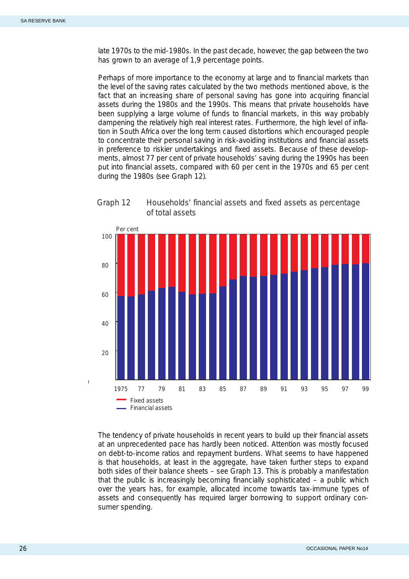<span id="page-28-0"></span>late 1970s to the mid-1980s. In the past decade, however, the gap between the two has grown to an average of 1,9 percentage points.

Perhaps of more importance to the economy at large and to financial markets than the level of the saving rates calculated by the two methods mentioned above, is the fact that an increasing share of personal saving has gone into acquiring financial assets during the 1980s and the 1990s. This means that private households have been supplying a large volume of funds to financial markets, in this way probably dampening the relatively high real interest rates. Furthermore, the high level of inflation in South Africa over the long term caused distortions which encouraged people to concentrate their personal saving in risk-avoiding institutions and financial assets in preference to riskier undertakings and fixed assets. Because of these developments, almost 77 per cent of private households' saving during the 1990s has been put into financial assets, compared with 60 per cent in the 1970s and 65 per cent during the 1980s (see Graph 12).



Graph 12 Households' financial assets and fixed assets as percentage of total assets

The tendency of private households in recent years to build up their financial assets at an unprecedented pace has hardly been noticed. Attention was mostly focused on debt-to-income ratios and repayment burdens. What seems to have happened is that households, at least in the aggregate, have taken further steps to expand both sides of their balance sheets – see Graph 13. This is probably a manifestation that the public is increasingly becoming financially sophisticated – a public which over the years has, for example, allocated income towards tax-immune types of assets and consequently has required larger borrowing to support ordinary consumer spending.

 $\overline{1}$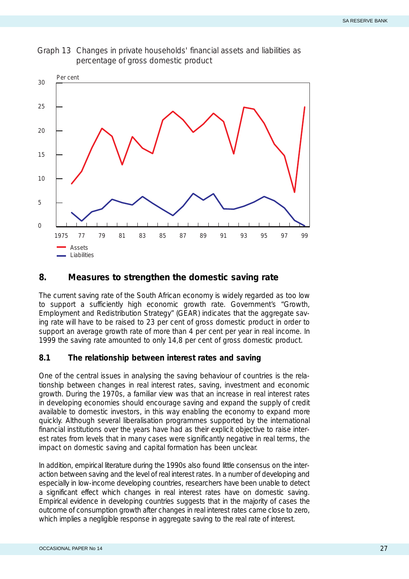<span id="page-29-0"></span>



## **8. Measures to strengthen the domestic saving rate**

The current saving rate of the South African economy is widely regarded as too low to support a sufficiently high economic growth rate. Government's "Growth, Employment and Redistribution Strategy" (GEAR) indicates that the aggregate saving rate will have to be raised to 23 per cent of gross domestic product in order to support an average growth rate of more than 4 per cent per year in real income. In 1999 the saving rate amounted to only 14,8 per cent of gross domestic product.

#### **8.1 The relationship between interest rates and saving**

One of the central issues in analysing the saving behaviour of countries is the relationship between changes in real interest rates, saving, investment and economic growth. During the 1970s, a familiar view was that an increase in real interest rates in developing economies should encourage saving and expand the supply of credit available to domestic investors, in this way enabling the economy to expand more quickly. Although several liberalisation programmes supported by the international financial institutions over the years have had as their explicit objective to raise interest rates from levels that in many cases were significantly negative in real terms, the impact on domestic saving and capital formation has been unclear.

In addition, empirical literature during the 1990s also found little consensus on the interaction between saving and the level of real interest rates. In a number of developing and especially in low-income developing countries, researchers have been unable to detect a significant effect which changes in real interest rates have on domestic saving. Empirical evidence in developing countries suggests that in the majority of cases the outcome of consumption growth after changes in real interest rates came close to zero, which implies a negligible response in aggregate saving to the real rate of interest.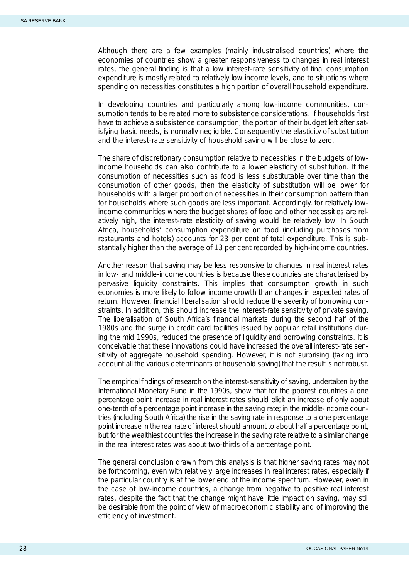Although there are a few examples (mainly industrialised countries) where the economies of countries show a greater responsiveness to changes in real interest rates, the general finding is that a low interest-rate sensitivity of final consumption expenditure is mostly related to relatively low income levels, and to situations where spending on necessities constitutes a high portion of overall household expenditure.

In developing countries and particularly among low-income communities, consumption tends to be related more to subsistence considerations. If households first have to achieve a subsistence consumption, the portion of their budget left after satisfying basic needs, is normally negligible. Consequently the elasticity of substitution and the interest-rate sensitivity of household saving will be close to zero.

The share of discretionary consumption relative to necessities in the budgets of lowincome households can also contribute to a lower elasticity of substitution. If the consumption of necessities such as food is less substitutable over time than the consumption of other goods, then the elasticity of substitution will be lower for households with a larger proportion of necessities in their consumption pattern than for households where such goods are less important. Accordingly, for relatively lowincome communities where the budget shares of food and other necessities are relatively high, the interest-rate elasticity of saving would be relatively low. In South Africa, households' consumption expenditure on food (including purchases from restaurants and hotels) accounts for 23 per cent of total expenditure. This is substantially higher than the average of 13 per cent recorded by high-income countries.

Another reason that saving may be less responsive to changes in real interest rates in low- and middle-income countries is because these countries are characterised by pervasive liquidity constraints. This implies that consumption growth in such economies is more likely to follow income growth than changes in expected rates of return. However, financial liberalisation should reduce the severity of borrowing constraints. In addition, this should increase the interest-rate sensitivity of private saving. The liberalisation of South Africa's financial markets during the second half of the 1980s and the surge in credit card facilities issued by popular retail institutions during the mid 1990s, reduced the presence of liquidity and borrowing constraints. It is conceivable that these innovations could have increased the overall interest-rate sensitivity of aggregate household spending. However, it is not surprising (taking into account all the various determinants of household saving) that the result is not robust.

The empirical findings of research on the interest-sensitivity of saving, undertaken by the International Monetary Fund in the 1990s, show that for the poorest countries a one percentage point increase in real interest rates should elicit an increase of only about one-tenth of a percentage point increase in the saving rate; in the middle-income countries (including South Africa) the rise in the saving rate in response to a one percentage point increase in the real rate of interest should amount to about half a percentage point, but for the wealthiest countries the increase in the saving rate relative to a similar change in the real interest rates was about two-thirds of a percentage point.

The general conclusion drawn from this analysis is that higher saving rates may not be forthcoming, even with relatively large increases in real interest rates, especially if the particular country is at the lower end of the income spectrum. However, even in the case of low-income countries, a change from negative to positive real interest rates, despite the fact that the change might have little impact on saving, may still be desirable from the point of view of macroeconomic stability and of improving the efficiency of investment.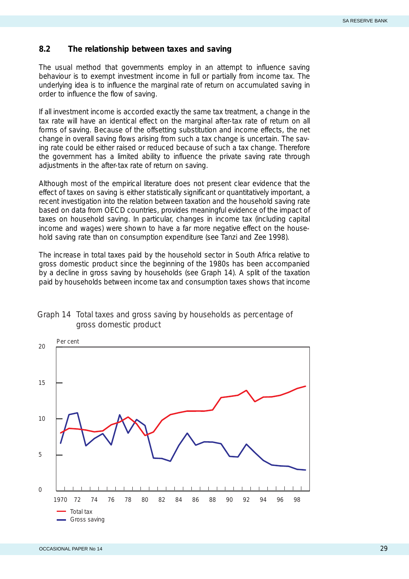## <span id="page-31-0"></span>**8.2 The relationship between taxes and saving**

The usual method that governments employ in an attempt to influence saving behaviour is to exempt investment income in full or partially from income tax. The underlying idea is to influence the marginal rate of return on accumulated saving in order to influence the flow of saving.

If all investment income is accorded exactly the same tax treatment, a change in the tax rate will have an identical effect on the marginal after-tax rate of return on all forms of saving. Because of the offsetting substitution and income effects, the net change in overall saving flows arising from such a tax change is uncertain. The saving rate could be either raised or reduced because of such a tax change. Therefore the government has a limited ability to influence the private saving rate through adjustments in the after-tax rate of return on saving.

Although most of the empirical literature does not present clear evidence that the effect of taxes on saving is either statistically significant or quantitatively important, a recent investigation into the relation between taxation and the household saving rate based on data from OECD countries, provides meaningful evidence of the impact of taxes on household saving. In particular, changes in income tax (including capital income and wages) were shown to have a far more negative effect on the household saving rate than on consumption expenditure (see Tanzi and Zee 1998).

The increase in total taxes paid by the household sector in South Africa relative to gross domestic product since the beginning of the 1980s has been accompanied by a decline in gross saving by households (see Graph 14). A split of the taxation paid by households between income tax and consumption taxes shows that income



#### Graph 14 Total taxes and gross saving by households as percentage of gross domestic product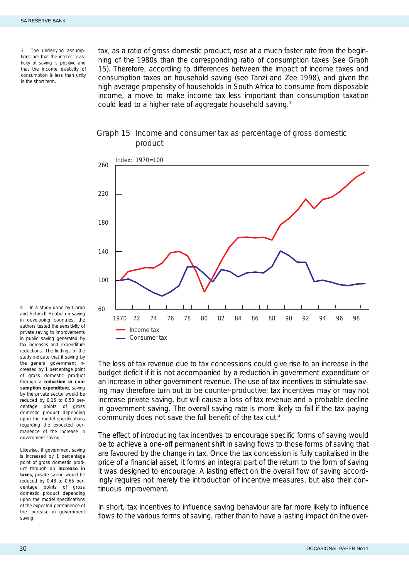<span id="page-32-0"></span>*3 The underlying assumptions are that the interest elasticity of saving is positive and that the income elasticity of consumption is less than unity in the short term.*

tax, as a ratio of gross domestic product, rose at a much faster rate from the beginning of the 1980s than the corresponding ratio of consumption taxes (see Graph 15). Therefore, according to differences between the impact of income taxes and consumption taxes on household saving (see Tanzi and Zee 1998), and given the high average propensity of households in South Africa to consume from disposable income, a move to make income tax less important than consumption taxation could lead to a higher rate of aggregate household saving.3

#### Graph 15 Income and consumer tax as percentage of gross domestic product



The loss of tax revenue due to tax concessions could give rise to an increase in the budget deficit if it is not accompanied by a reduction in government expenditure or an increase in other government revenue. The use of tax incentives to stimulate saving may therefore turn out to be counter-productive: tax incentives may or may not increase private saving, but will cause a loss of tax revenue and a probable decline in government saving. The overall saving rate is more likely to fall if the tax-paying community does not save the full benefit of the tax cut.<sup>4</sup>

The effect of introducing tax incentives to encourage specific forms of saving would be to achieve a one-off permanent shift in saving flows to those forms of saving that are favoured by the change in tax. Once the tax concession is fully capitalised in the price of a financial asset, it forms an integral part of the return to the form of saving it was designed to encourage. A lasting effect on the overall flow of saving accordingly requires not merely the introduction of incentive measures, but also their continuous improvement.

In short, tax incentives to influence saving behaviour are far more likely to influence flows to the various forms of saving, rather than to have a lasting impact on the over-

*4 In a study done by Corbo and Schmidt-Hebbel on saving in developing countries, the authors tested the sensitivity of private saving to improvements in public saving generated by tax increases and expenditure reductions. The findings of the study indicate that if saving by the general government increased by 1 percentage point of gross domestic product through a reduction in consumption expenditure, saving by the private sector would be reduced by 0,16 to 0,50 percentage points of gross domestic product depending upon the model specifications regarding the expected permanence of the increase in government saving.* 

*Likewise, if government saving is increased by 1 percentage point of gross domestic product through an increase in taxes, private saving would be reduced by 0,48 to 0,65 percentage points of gross domestic product depending upon the model specifications of the expected permanence of the increase in government saving.*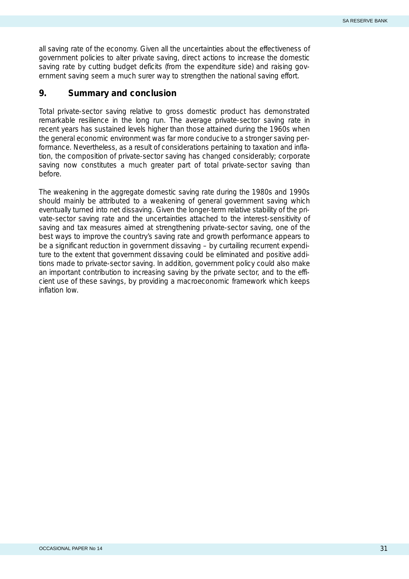<span id="page-33-0"></span>all saving rate of the economy. Given all the uncertainties about the effectiveness of government policies to alter private saving, direct actions to increase the domestic saving rate by cutting budget deficits (from the expenditure side) and raising government saving seem a much surer way to strengthen the national saving effort.

### **9. Summary and conclusion**

Total private-sector saving relative to gross domestic product has demonstrated remarkable resilience in the long run. The average private-sector saving rate in recent years has sustained levels higher than those attained during the 1960s when the general economic environment was far more conducive to a stronger saving performance. Nevertheless, as a result of considerations pertaining to taxation and inflation, the composition of private-sector saving has changed considerably; corporate saving now constitutes a much greater part of total private-sector saving than before.

The weakening in the aggregate domestic saving rate during the 1980s and 1990s should mainly be attributed to a weakening of general government saving which eventually turned into net dissaving. Given the longer-term relative stability of the private-sector saving rate and the uncertainties attached to the interest-sensitivity of saving and tax measures aimed at strengthening private-sector saving, one of the best ways to improve the country's saving rate and growth performance appears to be a significant reduction in government dissaving – by curtailing recurrent expenditure to the extent that government dissaving could be eliminated and positive additions made to private-sector saving. In addition, government policy could also make an important contribution to increasing saving by the private sector, and to the efficient use of these savings, by providing a macroeconomic framework which keeps inflation low.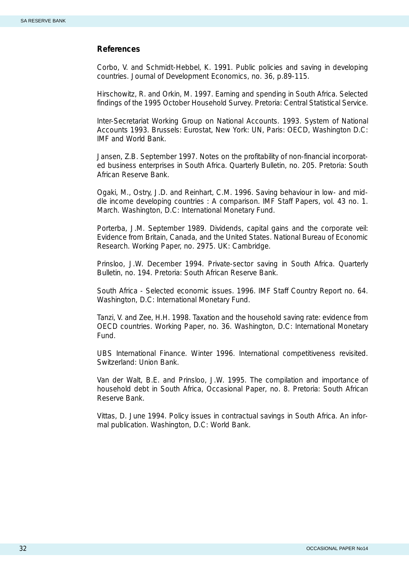#### <span id="page-34-0"></span>**References**

Corbo, V. and Schmidt-Hebbel, K. 1991. Public policies and saving in developing countries. *Journal of Development Economics,* no. 36, p.89-115.

Hirschowitz, R. and Orkin, M. 1997. *Earning and spending in South Africa*. *Selected findings of the 1995 October Household Survey*. Pretoria: Central Statistical Service.

Inter-Secretariat Working Group on National Accounts. 1993. *System of National Accounts 1993.* Brussels: Eurostat, New York: UN, Paris: OECD, Washington D.C: IMF and World Bank.

Jansen, Z.B. September 1997. Notes on the profitability of non-financial incorporated business enterprises in South Africa. *Quarterly Bulletin,* no. 205. Pretoria: South African Reserve Bank.

Ogaki, M., Ostry, J.D. and Reinhart, C.M. 1996. Saving behaviour in low- and middle income developing countries : A comparison. *IMF Staff Papers,* vol. 43 no. 1. March. Washington, D.C: International Monetary Fund.

Porterba, J.M. September 1989. Dividends, capital gains and the corporate veil: Evidence from Britain, Canada, and the United States. *National Bureau of Economic Research. Working Paper,* no. 2975. UK: Cambridge.

Prinsloo, J.W. December 1994. Private-sector saving in South Africa. *Quarterly Bulletin,* no. 194. Pretoria: South African Reserve Bank.

South Africa - Selected economic issues. 1996. *IMF Staff Country Report* no. 64. Washington, D.C: International Monetary Fund.

Tanzi, V. and Zee, H.H. 1998. Taxation and the household saving rate: evidence from OECD countries. *Working Paper*, no. 36. Washington, D.C: International Monetary Fund.

*UBS International Finance.* Winter 1996. International competitiveness revisited. Switzerland: Union Bank.

Van der Walt, B.E. and Prinsloo, J.W. 1995. The compilation and importance of household debt in South Africa, *Occasional Paper*, no. 8. Pretoria: South African Reserve Bank.

Vittas, D. June 1994. *Policy issues in contractual savings in South Africa*. An informal publication. Washington, D.C: World Bank.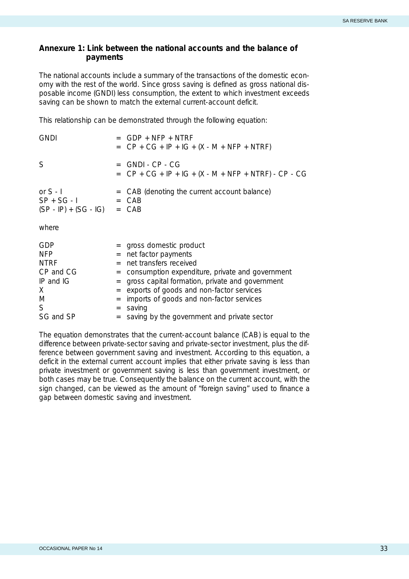#### <span id="page-35-0"></span>**Annexure 1: Link between the national accounts and the balance of payments**

The national accounts include a summary of the transactions of the domestic economy with the rest of the world. Since gross saving is defined as gross national disposable income (GNDI) *less* consumption, the extent to which investment exceeds saving can be shown to match the external current-account deficit.

This relationship can be demonstrated through the following equation:

| <b>GNDI</b>                                                                |                                                                                                                          | $GDP + NFP + NTRF$<br>= $CP + CG + IP + IG + (X - M + NFP + NTRF)$                                                                                                                                                                                                                |
|----------------------------------------------------------------------------|--------------------------------------------------------------------------------------------------------------------------|-----------------------------------------------------------------------------------------------------------------------------------------------------------------------------------------------------------------------------------------------------------------------------------|
| S                                                                          | $=$                                                                                                                      | GNDI - CP - CG<br>= $CP + CG + IP + IG + (X - M + NFP + NTRF) - CP - CG$                                                                                                                                                                                                          |
| or $S - I$<br>$SP + SG - I$<br>$(SP - IP) + (SG - IG) = CAB$               | $=$<br>$=$                                                                                                               | CAB (denoting the current account balance)<br>CAB                                                                                                                                                                                                                                 |
| where                                                                      |                                                                                                                          |                                                                                                                                                                                                                                                                                   |
| GDP<br><b>NFP</b><br><b>NTRF</b><br>CP and CG<br>IP and IG<br>X.<br>M<br>S | $\qquad \qquad =$<br>$=$<br>$=$<br>$\qquad \qquad =$<br>$\quad =$<br>$\displaystyle \qquad \qquad =\qquad \qquad$<br>$=$ | = gross domestic product<br>net factor payments<br>net transfers received<br>consumption expenditure, private and government<br>gross capital formation, private and government<br>exports of goods and non-factor services<br>imports of goods and non-factor services<br>saving |
| SG and SP                                                                  |                                                                                                                          | saving by the government and private sector                                                                                                                                                                                                                                       |

The equation demonstrates that the current-account balance (CAB) is equal to the difference between private-sector saving and private-sector investment, plus the difference between government saving and investment. According to this equation, a deficit in the external current account implies that either private saving is less than private investment or government saving is less than government investment, or both cases may be true. Consequently the balance on the current account, with the sign changed, can be viewed as the amount of "foreign saving" used to finance a gap between domestic saving and investment.